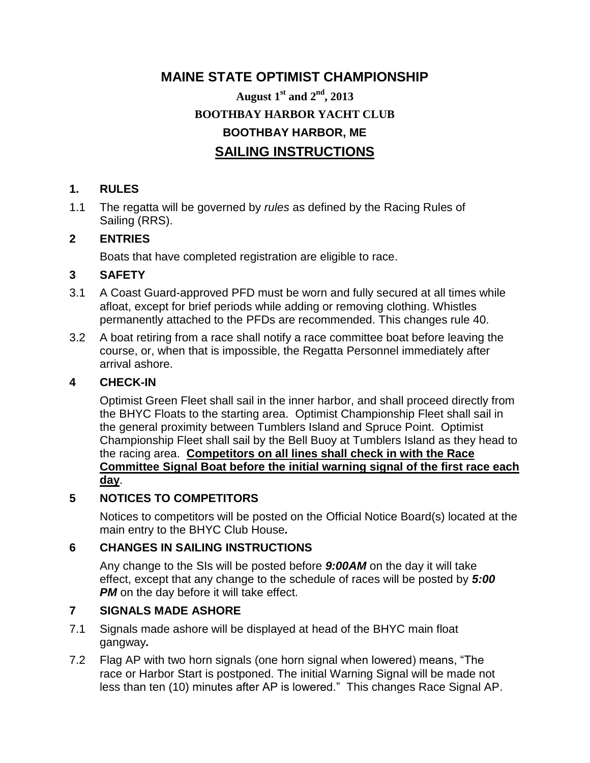# **MAINE STATE OPTIMIST CHAMPIONSHIP August 1st and 2nd, 2013 BOOTHBAY HARBOR YACHT CLUB BOOTHBAY HARBOR, ME SAILING INSTRUCTIONS**

## **1. RULES**

1.1 The regatta will be governed by *rules* as defined by the Racing Rules of Sailing (RRS).

## **2 ENTRIES**

Boats that have completed registration are eligible to race.

## **3 SAFETY**

- 3.1 A Coast Guard-approved PFD must be worn and fully secured at all times while afloat, except for brief periods while adding or removing clothing. Whistles permanently attached to the PFDs are recommended. This changes rule 40.
- 3.2 A boat retiring from a race shall notify a race committee boat before leaving the course, or, when that is impossible, the Regatta Personnel immediately after arrival ashore.

## **4 CHECK-IN**

Optimist Green Fleet shall sail in the inner harbor, and shall proceed directly from the BHYC Floats to the starting area. Optimist Championship Fleet shall sail in the general proximity between Tumblers Island and Spruce Point. Optimist Championship Fleet shall sail by the Bell Buoy at Tumblers Island as they head to the racing area. **Competitors on all lines shall check in with the Race Committee Signal Boat before the initial warning signal of the first race each day**.

## **5 NOTICES TO COMPETITORS**

Notices to competitors will be posted on the Official Notice Board(s) located at the main entry to the BHYC Club House*.*

## **6 CHANGES IN SAILING INSTRUCTIONS**

Any change to the SIs will be posted before *9:00AM* on the day it will take effect, except that any change to the schedule of races will be posted by *5:00*  **PM** on the day before it will take effect.

## **7 SIGNALS MADE ASHORE**

- 7.1 Signals made ashore will be displayed at head of the BHYC main float gangway*.*
- 7.2 Flag AP with two horn signals (one horn signal when lowered) means, "The race or Harbor Start is postponed. The initial Warning Signal will be made not less than ten (10) minutes after AP is lowered." This changes Race Signal AP.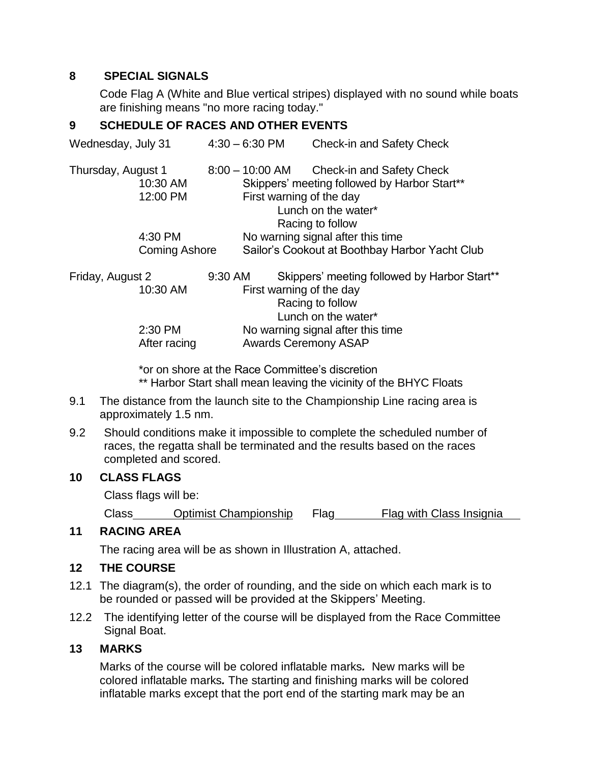#### **8 SPECIAL SIGNALS**

Code Flag A (White and Blue vertical stripes) displayed with no sound while boats are finishing means "no more racing today."

## **9 SCHEDULE OF RACES AND OTHER EVENTS**

| Wednesday, July 31   | $4:30 - 6:30$ PM                  | <b>Check-in and Safety Check</b>               |  |
|----------------------|-----------------------------------|------------------------------------------------|--|
| Thursday, August 1   | $8:00 - 10:00$ AM                 | Check-in and Safety Check                      |  |
| 10:30 AM             |                                   | Skippers' meeting followed by Harbor Start**   |  |
| 12:00 PM             | First warning of the day          |                                                |  |
|                      | Lunch on the water*               |                                                |  |
|                      | Racing to follow                  |                                                |  |
| 4:30 PM              |                                   | No warning signal after this time              |  |
| <b>Coming Ashore</b> |                                   | Sailor's Cookout at Boothbay Harbor Yacht Club |  |
| Friday, August 2     | 9:30 AM                           | Skippers' meeting followed by Harbor Start**   |  |
| 10:30 AM             | First warning of the day          |                                                |  |
|                      | Racing to follow                  |                                                |  |
|                      |                                   | Lunch on the water*                            |  |
| 2:30 PM              | No warning signal after this time |                                                |  |
| After racing         | <b>Awards Ceremony ASAP</b>       |                                                |  |

\*or on shore at the Race Committee's discretion \*\* Harbor Start shall mean leaving the vicinity of the BHYC Floats

- 9.1 The distance from the launch site to the Championship Line racing area is approximately 1.5 nm.
- 9.2 Should conditions make it impossible to complete the scheduled number of races, the regatta shall be terminated and the results based on the races completed and scored.

## **10 CLASS FLAGS**

Class flags will be:

Class **Optimist Championship** Flag Flag with Class Insignia

#### **11 RACING AREA**

The racing area will be as shown in Illustration A, attached.

#### **12 THE COURSE**

- 12.1 The diagram(s), the order of rounding, and the side on which each mark is to be rounded or passed will be provided at the Skippers' Meeting.
- 12.2 The identifying letter of the course will be displayed from the Race Committee Signal Boat.

## **13 MARKS**

Marks of the course will be colored inflatable marks*.* New marks will be colored inflatable marks*.* The starting and finishing marks will be colored inflatable marks except that the port end of the starting mark may be an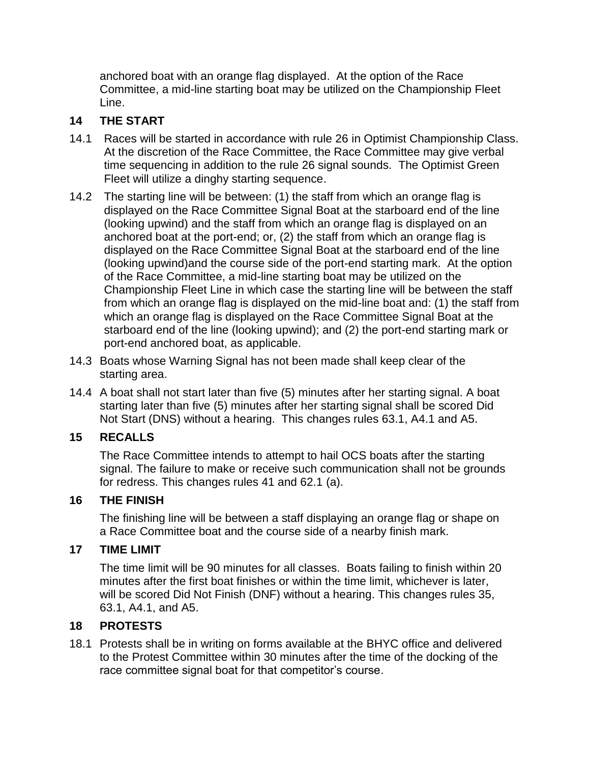anchored boat with an orange flag displayed. At the option of the Race Committee, a mid-line starting boat may be utilized on the Championship Fleet Line.

## **14 THE START**

- 14.1 Races will be started in accordance with rule 26 in Optimist Championship Class. At the discretion of the Race Committee, the Race Committee may give verbal time sequencing in addition to the rule 26 signal sounds. The Optimist Green Fleet will utilize a dinghy starting sequence.
- 14.2 The starting line will be between: (1) the staff from which an orange flag is displayed on the Race Committee Signal Boat at the starboard end of the line (looking upwind) and the staff from which an orange flag is displayed on an anchored boat at the port-end; or, (2) the staff from which an orange flag is displayed on the Race Committee Signal Boat at the starboard end of the line (looking upwind)and the course side of the port-end starting mark. At the option of the Race Committee, a mid-line starting boat may be utilized on the Championship Fleet Line in which case the starting line will be between the staff from which an orange flag is displayed on the mid-line boat and: (1) the staff from which an orange flag is displayed on the Race Committee Signal Boat at the starboard end of the line (looking upwind); and (2) the port-end starting mark or port-end anchored boat, as applicable.
- 14.3 Boats whose Warning Signal has not been made shall keep clear of the starting area.
- 14.4 A boat shall not start later than five (5) minutes after her starting signal. A boat starting later than five (5) minutes after her starting signal shall be scored Did Not Start (DNS) without a hearing. This changes rules 63.1, A4.1 and A5.

## **15 RECALLS**

The Race Committee intends to attempt to hail OCS boats after the starting signal. The failure to make or receive such communication shall not be grounds for redress. This changes rules 41 and 62.1 (a).

## **16 THE FINISH**

The finishing line will be between a staff displaying an orange flag or shape on a Race Committee boat and the course side of a nearby finish mark.

#### **17 TIME LIMIT**

The time limit will be 90 minutes for all classes. Boats failing to finish within 20 minutes after the first boat finishes or within the time limit, whichever is later, will be scored Did Not Finish (DNF) without a hearing. This changes rules 35, 63.1, A4.1, and A5.

#### **18 PROTESTS**

18.1 Protests shall be in writing on forms available at the BHYC office and delivered to the Protest Committee within 30 minutes after the time of the docking of the race committee signal boat for that competitor's course.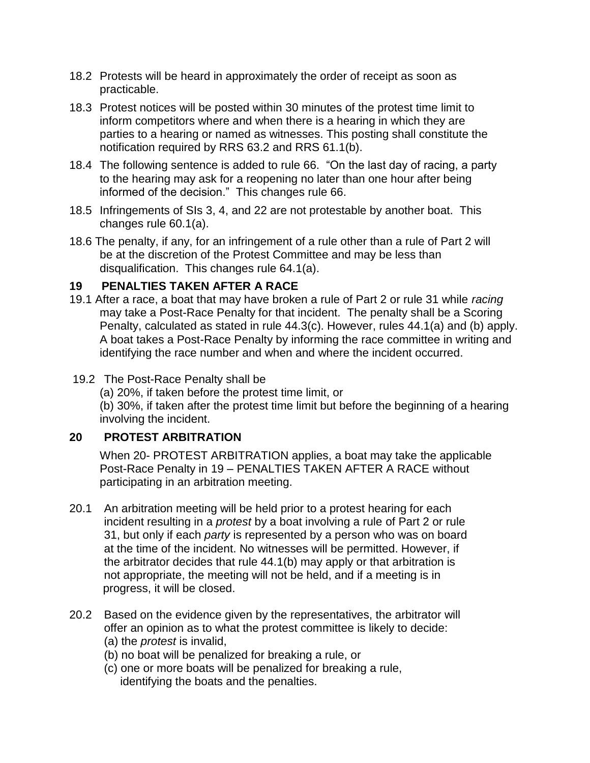- 18.2 Protests will be heard in approximately the order of receipt as soon as practicable.
- 18.3 Protest notices will be posted within 30 minutes of the protest time limit to inform competitors where and when there is a hearing in which they are parties to a hearing or named as witnesses. This posting shall constitute the notification required by RRS 63.2 and RRS 61.1(b).
- 18.4 The following sentence is added to rule 66. "On the last day of racing, a party to the hearing may ask for a reopening no later than one hour after being informed of the decision." This changes rule 66.
- 18.5 Infringements of SIs 3, 4, and 22 are not protestable by another boat. This changes rule 60.1(a).
- 18.6 The penalty, if any, for an infringement of a rule other than a rule of Part 2 will be at the discretion of the Protest Committee and may be less than disqualification. This changes rule 64.1(a).

## **19 PENALTIES TAKEN AFTER A RACE**

- 19.1 After a race, a boat that may have broken a rule of Part 2 or rule 31 while *racing* may take a Post-Race Penalty for that incident. The penalty shall be a Scoring Penalty, calculated as stated in rule 44.3(c). However, rules 44.1(a) and (b) apply. A boat takes a Post-Race Penalty by informing the race committee in writing and identifying the race number and when and where the incident occurred.
- 19.2 The Post-Race Penalty shall be
	- (a) 20%, if taken before the protest time limit, or

(b) 30%, if taken after the protest time limit but before the beginning of a hearing involving the incident.

#### **20 PROTEST ARBITRATION**

When 20- PROTEST ARBITRATION applies, a boat may take the applicable Post-Race Penalty in 19 – PENALTIES TAKEN AFTER A RACE without participating in an arbitration meeting.

- 20.1 An arbitration meeting will be held prior to a protest hearing for each incident resulting in a *protest* by a boat involving a rule of Part 2 or rule 31, but only if each *party* is represented by a person who was on board at the time of the incident. No witnesses will be permitted. However, if the arbitrator decides that rule 44.1(b) may apply or that arbitration is not appropriate, the meeting will not be held, and if a meeting is in progress, it will be closed.
- 20.2 Based on the evidence given by the representatives, the arbitrator will offer an opinion as to what the protest committee is likely to decide: (a) the *protest* is invalid,
	- (b) no boat will be penalized for breaking a rule, or
	- (c) one or more boats will be penalized for breaking a rule, identifying the boats and the penalties.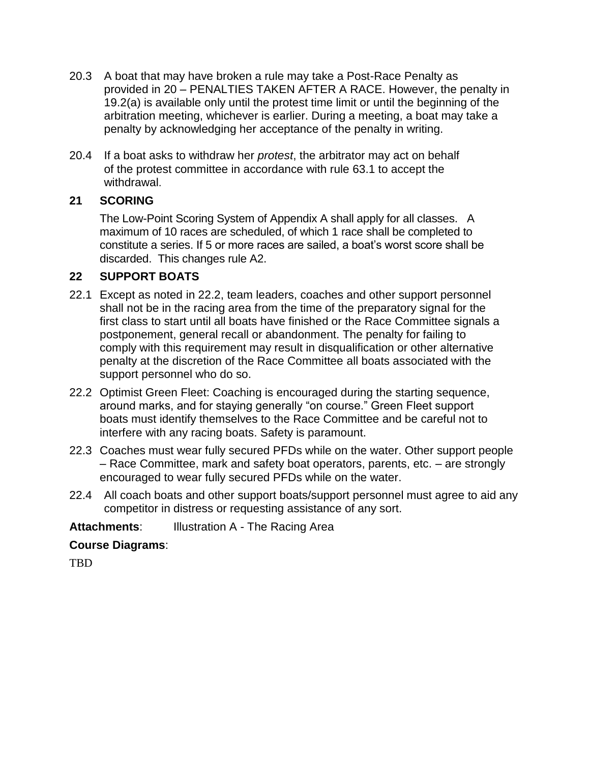- 20.3 A boat that may have broken a rule may take a Post-Race Penalty as provided in 20 – PENALTIES TAKEN AFTER A RACE. However, the penalty in 19.2(a) is available only until the protest time limit or until the beginning of the arbitration meeting, whichever is earlier. During a meeting, a boat may take a penalty by acknowledging her acceptance of the penalty in writing.
- 20.4 If a boat asks to withdraw her *protest*, the arbitrator may act on behalf of the protest committee in accordance with rule 63.1 to accept the withdrawal.

## **21 SCORING**

The Low-Point Scoring System of Appendix A shall apply for all classes. A maximum of 10 races are scheduled, of which 1 race shall be completed to constitute a series. If 5 or more races are sailed, a boat's worst score shall be discarded. This changes rule A2.

## **22 SUPPORT BOATS**

- 22.1 Except as noted in 22.2, team leaders, coaches and other support personnel shall not be in the racing area from the time of the preparatory signal for the first class to start until all boats have finished or the Race Committee signals a postponement, general recall or abandonment. The penalty for failing to comply with this requirement may result in disqualification or other alternative penalty at the discretion of the Race Committee all boats associated with the support personnel who do so.
- 22.2 Optimist Green Fleet: Coaching is encouraged during the starting sequence, around marks, and for staying generally "on course." Green Fleet support boats must identify themselves to the Race Committee and be careful not to interfere with any racing boats. Safety is paramount.
- 22.3 Coaches must wear fully secured PFDs while on the water. Other support people – Race Committee, mark and safety boat operators, parents, etc. – are strongly encouraged to wear fully secured PFDs while on the water.
- 22.4 All coach boats and other support boats/support personnel must agree to aid any competitor in distress or requesting assistance of any sort.

**Attachments:** Illustration A - The Racing Area

## **Course Diagrams**:

TBD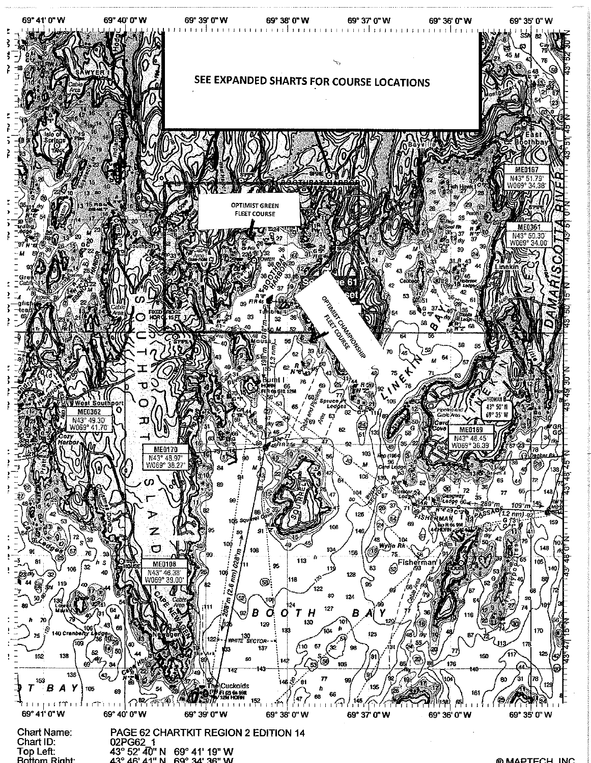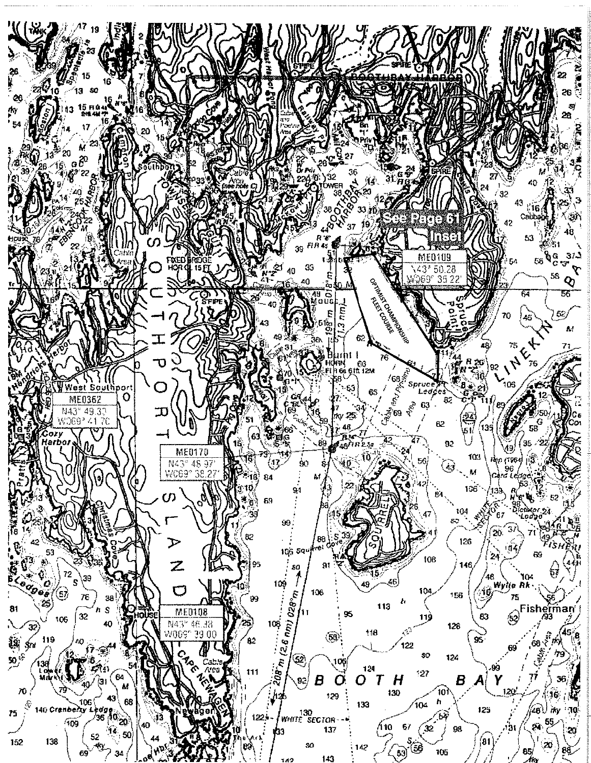